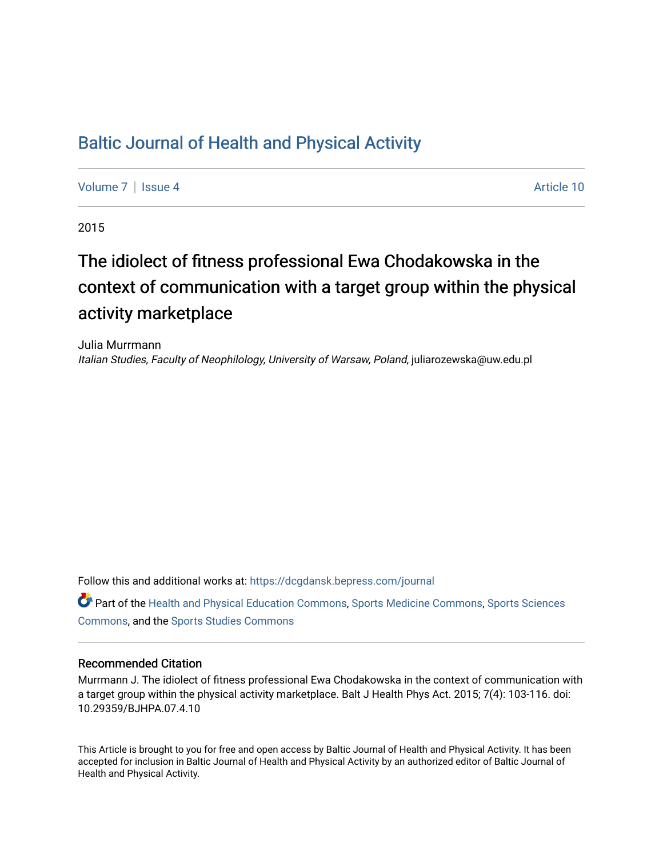## [Baltic Journal of Health and Physical Activity](https://dcgdansk.bepress.com/journal)

[Volume 7](https://dcgdansk.bepress.com/journal/vol7) | [Issue 4](https://dcgdansk.bepress.com/journal/vol7/iss4) Article 10

2015

# The idiolect of fitness professional Ewa Chodakowska in the context of communication with a target group within the physical activity marketplace

Julia Murrmann Italian Studies, Faculty of Neophilology, University of Warsaw, Poland, juliarozewska@uw.edu.pl

Follow this and additional works at: [https://dcgdansk.bepress.com/journal](https://dcgdansk.bepress.com/journal?utm_source=dcgdansk.bepress.com%2Fjournal%2Fvol7%2Fiss4%2F10&utm_medium=PDF&utm_campaign=PDFCoverPages)

Part of the [Health and Physical Education Commons](http://network.bepress.com/hgg/discipline/1327?utm_source=dcgdansk.bepress.com%2Fjournal%2Fvol7%2Fiss4%2F10&utm_medium=PDF&utm_campaign=PDFCoverPages), [Sports Medicine Commons,](http://network.bepress.com/hgg/discipline/1331?utm_source=dcgdansk.bepress.com%2Fjournal%2Fvol7%2Fiss4%2F10&utm_medium=PDF&utm_campaign=PDFCoverPages) [Sports Sciences](http://network.bepress.com/hgg/discipline/759?utm_source=dcgdansk.bepress.com%2Fjournal%2Fvol7%2Fiss4%2F10&utm_medium=PDF&utm_campaign=PDFCoverPages) [Commons](http://network.bepress.com/hgg/discipline/759?utm_source=dcgdansk.bepress.com%2Fjournal%2Fvol7%2Fiss4%2F10&utm_medium=PDF&utm_campaign=PDFCoverPages), and the [Sports Studies Commons](http://network.bepress.com/hgg/discipline/1198?utm_source=dcgdansk.bepress.com%2Fjournal%2Fvol7%2Fiss4%2F10&utm_medium=PDF&utm_campaign=PDFCoverPages) 

#### Recommended Citation

Murrmann J. The idiolect of fitness professional Ewa Chodakowska in the context of communication with a target group within the physical activity marketplace. Balt J Health Phys Act. 2015; 7(4): 103-116. doi: 10.29359/BJHPA.07.4.10

This Article is brought to you for free and open access by Baltic Journal of Health and Physical Activity. It has been accepted for inclusion in Baltic Journal of Health and Physical Activity by an authorized editor of Baltic Journal of Health and Physical Activity.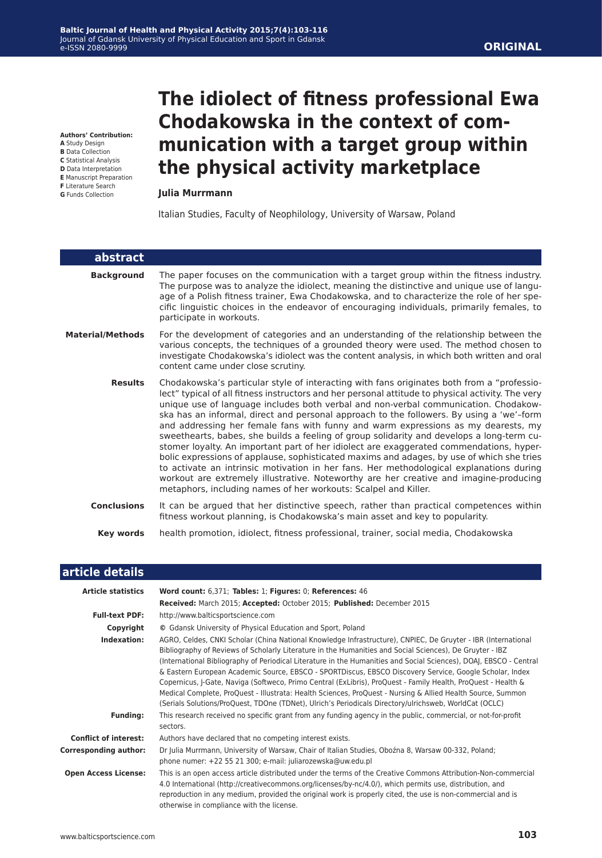**Authors' Contribution:**

**A** Study Design

- **B** Data Collection
- **C** Statistical Analysis **D** Data Interpretation
- **E** Manuscript Preparation
- **F** Literature Search
- **G** Funds Collection

# **The idiolect of fitness professional Ewa Chodakowska in the context of communication with a target group within the physical activity marketplace**

#### **Julia Murrmann**

Italian Studies, Faculty of Neophilology, University of Warsaw, Poland

| abstract                |                                                                                                                                                                                                                                                                                                                                                                                                                                                                                                                                                                                                                                                                                                                                                                                                                                                                                                                                                                                                                     |
|-------------------------|---------------------------------------------------------------------------------------------------------------------------------------------------------------------------------------------------------------------------------------------------------------------------------------------------------------------------------------------------------------------------------------------------------------------------------------------------------------------------------------------------------------------------------------------------------------------------------------------------------------------------------------------------------------------------------------------------------------------------------------------------------------------------------------------------------------------------------------------------------------------------------------------------------------------------------------------------------------------------------------------------------------------|
| <b>Background</b>       | The paper focuses on the communication with a target group within the fitness industry.<br>The purpose was to analyze the idiolect, meaning the distinctive and unique use of langu-<br>age of a Polish fitness trainer, Ewa Chodakowska, and to characterize the role of her spe-<br>cific linguistic choices in the endeavor of encouraging individuals, primarily females, to<br>participate in workouts.                                                                                                                                                                                                                                                                                                                                                                                                                                                                                                                                                                                                        |
| <b>Material/Methods</b> | For the development of categories and an understanding of the relationship between the<br>various concepts, the techniques of a grounded theory were used. The method chosen to<br>investigate Chodakowska's idiolect was the content analysis, in which both written and oral<br>content came under close scrutiny.                                                                                                                                                                                                                                                                                                                                                                                                                                                                                                                                                                                                                                                                                                |
| <b>Results</b>          | Chodakowska's particular style of interacting with fans originates both from a "professio-<br>lect" typical of all fitness instructors and her personal attitude to physical activity. The very<br>unique use of language includes both verbal and non-verbal communication. Chodakow-<br>ska has an informal, direct and personal approach to the followers. By using a 'we'-form<br>and addressing her female fans with funny and warm expressions as my dearests, my<br>sweethearts, babes, she builds a feeling of group solidarity and develops a long-term cu-<br>stomer loyalty. An important part of her idiolect are exaggerated commendations, hyper-<br>bolic expressions of applause, sophisticated maxims and adages, by use of which she tries<br>to activate an intrinsic motivation in her fans. Her methodological explanations during<br>workout are extremely illustrative. Noteworthy are her creative and imagine-producing<br>metaphors, including names of her workouts: Scalpel and Killer. |
| <b>Conclusions</b>      | It can be argued that her distinctive speech, rather than practical competences within<br>fitness workout planning, is Chodakowska's main asset and key to popularity.                                                                                                                                                                                                                                                                                                                                                                                                                                                                                                                                                                                                                                                                                                                                                                                                                                              |
| <b>Key words</b>        | health promotion, idiolect, fitness professional, trainer, social media, Chodakowska                                                                                                                                                                                                                                                                                                                                                                                                                                                                                                                                                                                                                                                                                                                                                                                                                                                                                                                                |

#### **article details**

| <b>Article statistics</b>    | Word count: 6,371; Tables: 1; Figures: 0; References: 46                                                                                                                                                                                                                                                                                                                                                                                                                                                                                                                                                                                                                                                                                                                                             |  |  |
|------------------------------|------------------------------------------------------------------------------------------------------------------------------------------------------------------------------------------------------------------------------------------------------------------------------------------------------------------------------------------------------------------------------------------------------------------------------------------------------------------------------------------------------------------------------------------------------------------------------------------------------------------------------------------------------------------------------------------------------------------------------------------------------------------------------------------------------|--|--|
|                              | Received: March 2015; Accepted: October 2015; Published: December 2015                                                                                                                                                                                                                                                                                                                                                                                                                                                                                                                                                                                                                                                                                                                               |  |  |
| <b>Full-text PDF:</b>        | http://www.balticsportscience.com                                                                                                                                                                                                                                                                                                                                                                                                                                                                                                                                                                                                                                                                                                                                                                    |  |  |
| Copyright                    | © Gdansk University of Physical Education and Sport, Poland                                                                                                                                                                                                                                                                                                                                                                                                                                                                                                                                                                                                                                                                                                                                          |  |  |
| Indexation:                  | AGRO, Celdes, CNKI Scholar (China National Knowledge Infrastructure), CNPIEC, De Gruyter - IBR (International<br>Bibliography of Reviews of Scholarly Literature in the Humanities and Social Sciences), De Gruyter - IBZ<br>(International Bibliography of Periodical Literature in the Humanities and Social Sciences), DOAJ, EBSCO - Central<br>& Eastern European Academic Source, EBSCO - SPORTDiscus, EBSCO Discovery Service, Google Scholar, Index<br>Copernicus, J-Gate, Naviga (Softweco, Primo Central (ExLibris), ProQuest - Family Health, ProQuest - Health &<br>Medical Complete, ProQuest - Illustrata: Health Sciences, ProQuest - Nursing & Allied Health Source, Summon<br>(Serials Solutions/ProQuest, TDOne (TDNet), Ulrich's Periodicals Directory/ulrichsweb, WorldCat (OCLC) |  |  |
| <b>Funding:</b>              | This research received no specific grant from any funding agency in the public, commercial, or not-for-profit<br>sectors.                                                                                                                                                                                                                                                                                                                                                                                                                                                                                                                                                                                                                                                                            |  |  |
| <b>Conflict of interest:</b> | Authors have declared that no competing interest exists.                                                                                                                                                                                                                                                                                                                                                                                                                                                                                                                                                                                                                                                                                                                                             |  |  |
| <b>Corresponding author:</b> | Dr Julia Murrmann, University of Warsaw, Chair of Italian Studies, Oboźna 8, Warsaw 00-332, Poland;<br>phone numer: +22 55 21 300; e-mail: juliarozewska@uw.edu.pl                                                                                                                                                                                                                                                                                                                                                                                                                                                                                                                                                                                                                                   |  |  |
| <b>Open Access License:</b>  | This is an open access article distributed under the terms of the Creative Commons Attribution-Non-commercial<br>4.0 International (http://creativecommons.org/licenses/by-nc/4.0/), which permits use, distribution, and<br>reproduction in any medium, provided the original work is properly cited, the use is non-commercial and is<br>otherwise in compliance with the license.                                                                                                                                                                                                                                                                                                                                                                                                                 |  |  |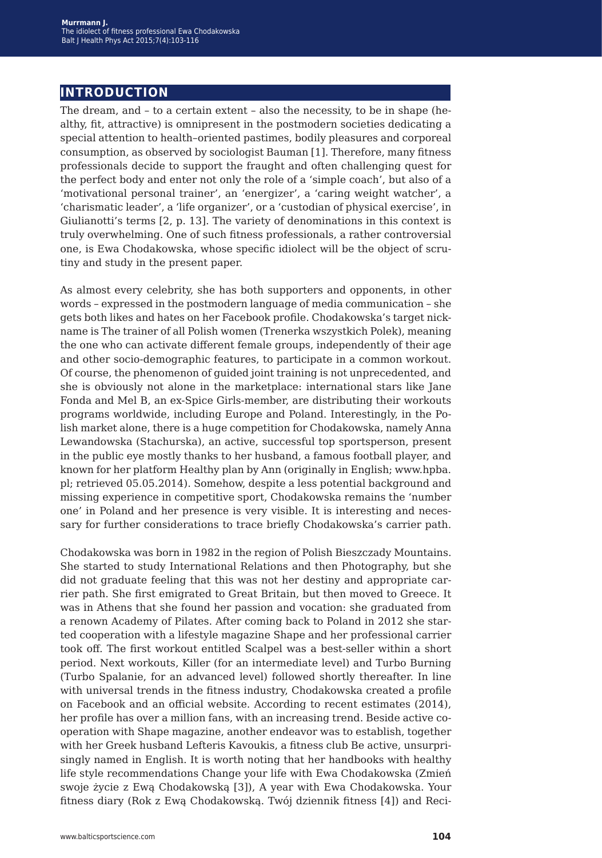## **introduction**

The dream, and – to a certain extent – also the necessity, to be in shape (healthy, fit, attractive) is omnipresent in the postmodern societies dedicating a special attention to health–oriented pastimes, bodily pleasures and corporeal consumption, as observed by sociologist Bauman [1]. Therefore, many fitness professionals decide to support the fraught and often challenging quest for the perfect body and enter not only the role of a 'simple coach', but also of a 'motivational personal trainer', an 'energizer', a 'caring weight watcher', a 'charismatic leader', a 'life organizer', or a 'custodian of physical exercise', in Giulianotti's terms [2, p. 13]. The variety of denominations in this context is truly overwhelming. One of such fitness professionals, a rather controversial one, is Ewa Chodakowska, whose specific idiolect will be the object of scrutiny and study in the present paper.

As almost every celebrity, she has both supporters and opponents, in other words – expressed in the postmodern language of media communication – she gets both likes and hates on her Facebook profile. Chodakowska's target nickname is The trainer of all Polish women (Trenerka wszystkich Polek), meaning the one who can activate different female groups, independently of their age and other socio-demographic features, to participate in a common workout. Of course, the phenomenon of guided joint training is not unprecedented, and she is obviously not alone in the marketplace: international stars like Jane Fonda and Mel B, an ex-Spice Girls-member, are distributing their workouts programs worldwide, including Europe and Poland. Interestingly, in the Polish market alone, there is a huge competition for Chodakowska, namely Anna Lewandowska (Stachurska), an active, successful top sportsperson, present in the public eye mostly thanks to her husband, a famous football player, and known for her platform Healthy plan by Ann (originally in English; www.hpba. pl; retrieved 05.05.2014). Somehow, despite a less potential background and missing experience in competitive sport, Chodakowska remains the 'number one' in Poland and her presence is very visible. It is interesting and necessary for further considerations to trace briefly Chodakowska's carrier path.

Chodakowska was born in 1982 in the region of Polish Bieszczady Mountains. She started to study International Relations and then Photography, but she did not graduate feeling that this was not her destiny and appropriate carrier path. She first emigrated to Great Britain, but then moved to Greece. It was in Athens that she found her passion and vocation: she graduated from a renown Academy of Pilates. After coming back to Poland in 2012 she started cooperation with a lifestyle magazine Shape and her professional carrier took off. The first workout entitled Scalpel was a best-seller within a short period. Next workouts, Killer (for an intermediate level) and Turbo Burning (Turbo Spalanie, for an advanced level) followed shortly thereafter. In line with universal trends in the fitness industry, Chodakowska created a profile on Facebook and an official website. According to recent estimates (2014), her profile has over a million fans, with an increasing trend. Beside active cooperation with Shape magazine, another endeavor was to establish, together with her Greek husband Lefteris Kavoukis, a fitness club Be active, unsurprisingly named in English. It is worth noting that her handbooks with healthy life style recommendations Change your life with Ewa Chodakowska (Zmień swoje życie z Ewą Chodakowską [3]), A year with Ewa Chodakowska. Your fitness diary (Rok z Ewą Chodakowską. Twój dziennik fitness [4]) and Reci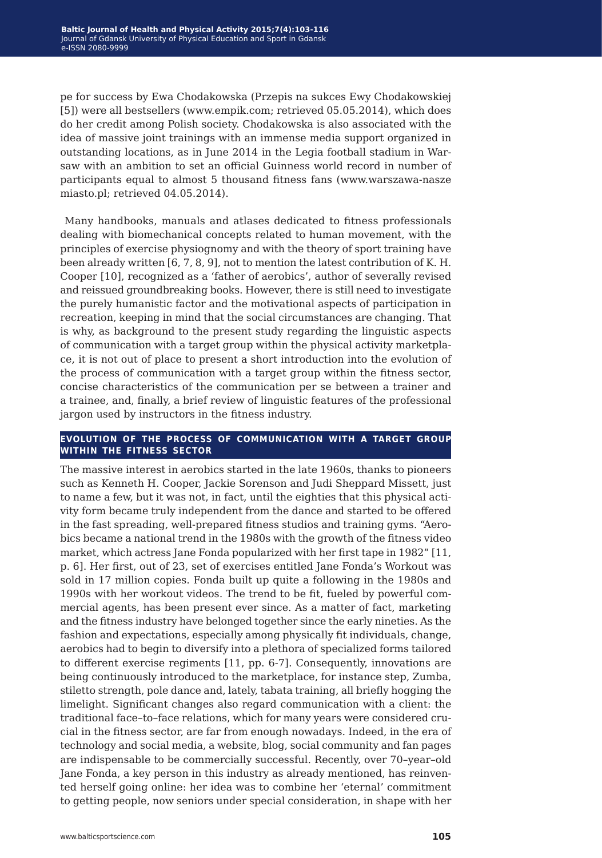pe for success by Ewa Chodakowska (Przepis na sukces Ewy Chodakowskiej [5]) were all bestsellers (www.empik.com; retrieved 05.05.2014), which does do her credit among Polish society. Chodakowska is also associated with the idea of massive joint trainings with an immense media support organized in outstanding locations, as in June 2014 in the Legia football stadium in Warsaw with an ambition to set an official Guinness world record in number of participants equal to almost 5 thousand fitness fans (www.warszawa-nasze miasto.pl; retrieved 04.05.2014).

 Many handbooks, manuals and atlases dedicated to fitness professionals dealing with biomechanical concepts related to human movement, with the principles of exercise physiognomy and with the theory of sport training have been already written [6, 7, 8, 9], not to mention the latest contribution of K. H. Cooper [10], recognized as a 'father of aerobics', author of severally revised and reissued groundbreaking books. However, there is still need to investigate the purely humanistic factor and the motivational aspects of participation in recreation, keeping in mind that the social circumstances are changing. That is why, as background to the present study regarding the linguistic aspects of communication with a target group within the physical activity marketplace, it is not out of place to present a short introduction into the evolution of the process of communication with a target group within the fitness sector, concise characteristics of the communication per se between a trainer and a trainee, and, finally, a brief review of linguistic features of the professional jargon used by instructors in the fitness industry.

#### **evolution of the process of communication with a target group within the fitness sector**

The massive interest in aerobics started in the late 1960s, thanks to pioneers such as Kenneth H. Cooper, Jackie Sorenson and Judi Sheppard Missett, just to name a few, but it was not, in fact, until the eighties that this physical activity form became truly independent from the dance and started to be offered in the fast spreading, well-prepared fitness studios and training gyms. "Aerobics became a national trend in the 1980s with the growth of the fitness video market, which actress Jane Fonda popularized with her first tape in 1982" [11, p. 6]. Her first, out of 23, set of exercises entitled Jane Fonda's Workout was sold in 17 million copies. Fonda built up quite a following in the 1980s and 1990s with her workout videos. The trend to be fit, fueled by powerful commercial agents, has been present ever since. As a matter of fact, marketing and the fitness industry have belonged together since the early nineties. As the fashion and expectations, especially among physically fit individuals, change, aerobics had to begin to diversify into a plethora of specialized forms tailored to different exercise regiments [11, pp. 6-7]. Consequently, innovations are being continuously introduced to the marketplace, for instance step, Zumba, stiletto strength, pole dance and, lately, tabata training, all briefly hogging the limelight. Significant changes also regard communication with a client: the traditional face–to–face relations, which for many years were considered crucial in the fitness sector, are far from enough nowadays. Indeed, in the era of technology and social media, a website, blog, social community and fan pages are indispensable to be commercially successful. Recently, over 70–year–old Jane Fonda, a key person in this industry as already mentioned, has reinvented herself going online: her idea was to combine her 'eternal' commitment to getting people, now seniors under special consideration, in shape with her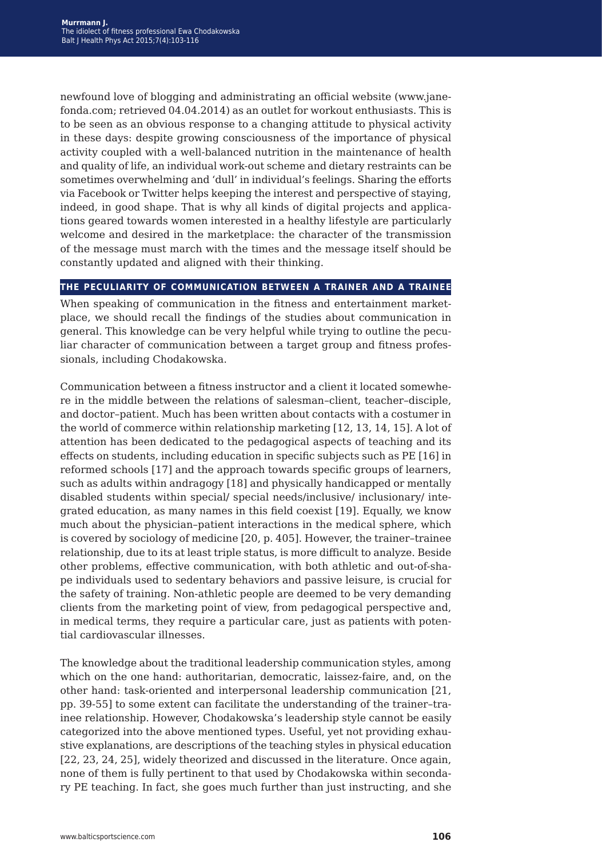newfound love of blogging and administrating an official website (www.janefonda.com; retrieved 04.04.2014) as an outlet for workout enthusiasts. This is to be seen as an obvious response to a changing attitude to physical activity in these days: despite growing consciousness of the importance of physical activity coupled with a well-balanced nutrition in the maintenance of health and quality of life, an individual work-out scheme and dietary restraints can be sometimes overwhelming and 'dull' in individual's feelings. Sharing the efforts via Facebook or Twitter helps keeping the interest and perspective of staying, indeed, in good shape. That is why all kinds of digital projects and applications geared towards women interested in a healthy lifestyle are particularly welcome and desired in the marketplace: the character of the transmission of the message must march with the times and the message itself should be constantly updated and aligned with their thinking.

#### **the peculiarity of communication between a trainer and a trainee**

When speaking of communication in the fitness and entertainment marketplace, we should recall the findings of the studies about communication in general. This knowledge can be very helpful while trying to outline the peculiar character of communication between a target group and fitness professionals, including Chodakowska.

Communication between a fitness instructor and a client it located somewhere in the middle between the relations of salesman–client, teacher–disciple, and doctor–patient. Much has been written about contacts with a costumer in the world of commerce within relationship marketing [12, 13, 14, 15]. A lot of attention has been dedicated to the pedagogical aspects of teaching and its effects on students, including education in specific subjects such as PE [16] in reformed schools [17] and the approach towards specific groups of learners, such as adults within andragogy [18] and physically handicapped or mentally disabled students within special/ special needs/inclusive/ inclusionary/ integrated education, as many names in this field coexist [19]. Equally, we know much about the physician–patient interactions in the medical sphere, which is covered by sociology of medicine [20, p. 405]. However, the trainer–trainee relationship, due to its at least triple status, is more difficult to analyze. Beside other problems, effective communication, with both athletic and out-of-shape individuals used to sedentary behaviors and passive leisure, is crucial for the safety of training. Non-athletic people are deemed to be very demanding clients from the marketing point of view, from pedagogical perspective and, in medical terms, they require a particular care, just as patients with potential cardiovascular illnesses.

The knowledge about the traditional leadership communication styles, among which on the one hand: authoritarian, democratic, laissez-faire, and, on the other hand: task-oriented and interpersonal leadership communication [21, pp. 39-55] to some extent can facilitate the understanding of the trainer–trainee relationship. However, Chodakowska's leadership style cannot be easily categorized into the above mentioned types. Useful, yet not providing exhaustive explanations, are descriptions of the teaching styles in physical education [22, 23, 24, 25], widely theorized and discussed in the literature. Once again, none of them is fully pertinent to that used by Chodakowska within secondary PE teaching. In fact, she goes much further than just instructing, and she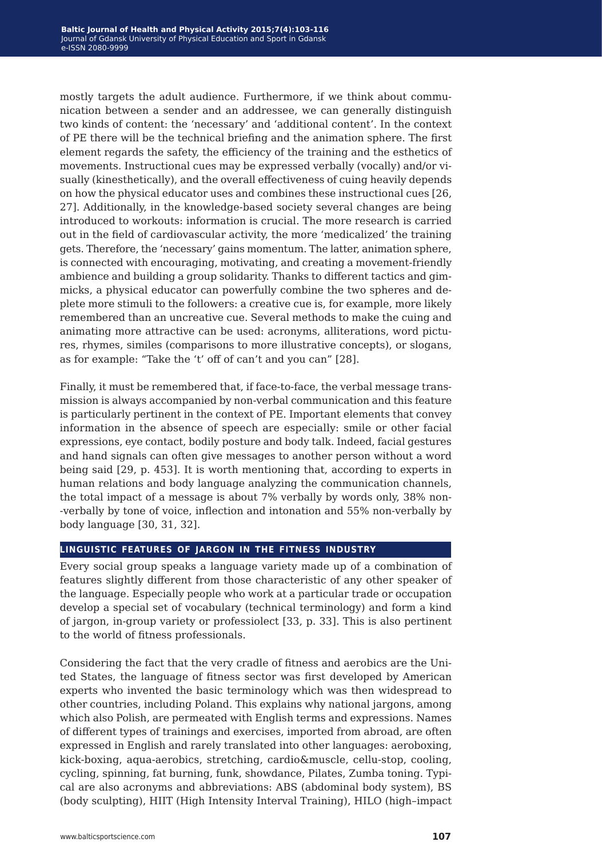mostly targets the adult audience. Furthermore, if we think about communication between a sender and an addressee, we can generally distinguish two kinds of content: the 'necessary' and 'additional content'. In the context of PE there will be the technical briefing and the animation sphere. The first element regards the safety, the efficiency of the training and the esthetics of movements. Instructional cues may be expressed verbally (vocally) and/or visually (kinesthetically), and the overall effectiveness of cuing heavily depends on how the physical educator uses and combines these instructional cues [26, 27]. Additionally, in the knowledge-based society several changes are being introduced to workouts: information is crucial. The more research is carried out in the field of cardiovascular activity, the more 'medicalized' the training gets. Therefore, the 'necessary' gains momentum. The latter, animation sphere, is connected with encouraging, motivating, and creating a movement-friendly ambience and building a group solidarity. Thanks to different tactics and gimmicks, a physical educator can powerfully combine the two spheres and deplete more stimuli to the followers: a creative cue is, for example, more likely remembered than an uncreative cue. Several methods to make the cuing and animating more attractive can be used: acronyms, alliterations, word pictures, rhymes, similes (comparisons to more illustrative concepts), or slogans, as for example: "Take the 't' off of can't and you can" [28].

Finally, it must be remembered that, if face-to-face, the verbal message transmission is always accompanied by non-verbal communication and this feature is particularly pertinent in the context of PE. Important elements that convey information in the absence of speech are especially: smile or other facial expressions, eye contact, bodily posture and body talk. Indeed, facial gestures and hand signals can often give messages to another person without a word being said [29, p. 453]. It is worth mentioning that, according to experts in human relations and body language analyzing the communication channels, the total impact of a message is about 7% verbally by words only, 38% non- -verbally by tone of voice, inflection and intonation and 55% non-verbally by body language [30, 31, 32].

#### **linguistic features of jargon in the fitness industry**

Every social group speaks a language variety made up of a combination of features slightly different from those characteristic of any other speaker of the language. Especially people who work at a particular trade or occupation develop a special set of vocabulary (technical terminology) and form a kind of jargon, in-group variety or professiolect [33, p. 33]. This is also pertinent to the world of fitness professionals.

Considering the fact that the very cradle of fitness and aerobics are the United States, the language of fitness sector was first developed by American experts who invented the basic terminology which was then widespread to other countries, including Poland. This explains why national jargons, among which also Polish, are permeated with English terms and expressions. Names of different types of trainings and exercises, imported from abroad, are often expressed in English and rarely translated into other languages: aeroboxing, kick-boxing, aqua-aerobics, stretching, cardio&muscle, cellu-stop, cooling, cycling, spinning, fat burning, funk, showdance, Pilates, Zumba toning. Typical are also acronyms and abbreviations: ABS (abdominal body system), BS (body sculpting), HIIT (High Intensity Interval Training), HILO (high–impact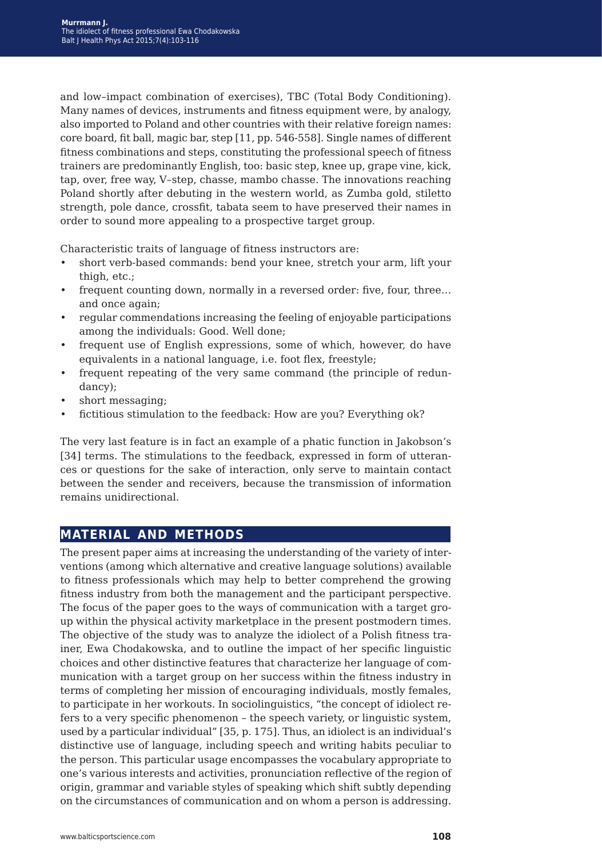and low–impact combination of exercises), TBC (Total Body Conditioning). Many names of devices, instruments and fitness equipment were, by analogy, also imported to Poland and other countries with their relative foreign names: core board, fit ball, magic bar, step [11, pp. 546-558]. Single names of different fitness combinations and steps, constituting the professional speech of fitness trainers are predominantly English, too: basic step, knee up, grape vine, kick, tap, over, free way, V–step, chasse, mambo chasse. The innovations reaching Poland shortly after debuting in the western world, as Zumba gold, stiletto strength, pole dance, crossfit, tabata seem to have preserved their names in order to sound more appealing to a prospective target group.

Characteristic traits of language of fitness instructors are:

- short verb-based commands: bend your knee, stretch your arm, lift your thigh, etc.;
- frequent counting down, normally in a reversed order: five, four, three... and once again;
- regular commendations increasing the feeling of enjoyable participations among the individuals: Good. Well done;
- frequent use of English expressions, some of which, however, do have equivalents in a national language, i.e. foot flex, freestyle;
- frequent repeating of the very same command (the principle of redundancy);
- short messaging;
- fictitious stimulation to the feedback: How are you? Everything ok?

The very last feature is in fact an example of a phatic function in Jakobson's [34] terms. The stimulations to the feedback, expressed in form of utterances or questions for the sake of interaction, only serve to maintain contact between the sender and receivers, because the transmission of information remains unidirectional.

## **material and methods**

The present paper aims at increasing the understanding of the variety of interventions (among which alternative and creative language solutions) available to fitness professionals which may help to better comprehend the growing fitness industry from both the management and the participant perspective. The focus of the paper goes to the ways of communication with a target group within the physical activity marketplace in the present postmodern times. The objective of the study was to analyze the idiolect of a Polish fitness trainer, Ewa Chodakowska, and to outline the impact of her specific linguistic choices and other distinctive features that characterize her language of communication with a target group on her success within the fitness industry in terms of completing her mission of encouraging individuals, mostly females, to participate in her workouts. In sociolinguistics, "the concept of idiolect refers to a very specific phenomenon – the speech variety, or linguistic system, used by a particular individual" [35, p. 175]. Thus, an idiolect is an individual's distinctive use of language, including speech and writing habits peculiar to the person. This particular usage encompasses the vocabulary appropriate to one's various interests and activities, pronunciation reflective of the region of origin, grammar and variable styles of speaking which shift subtly depending on the circumstances of communication and on whom a person is addressing.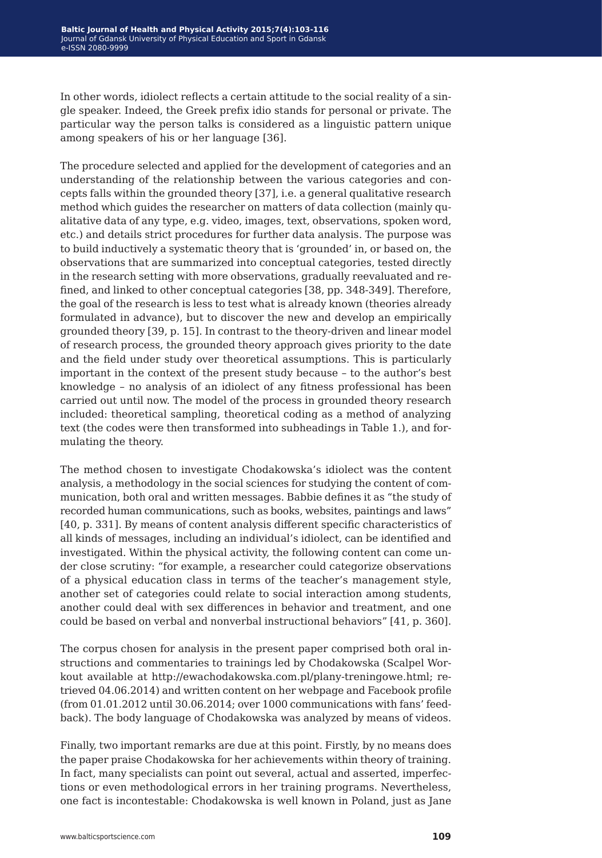In other words, idiolect reflects a certain attitude to the social reality of a single speaker. Indeed, the Greek prefix idio stands for personal or private. The particular way the person talks is considered as a linguistic pattern unique among speakers of his or her language [36].

The procedure selected and applied for the development of categories and an understanding of the relationship between the various categories and concepts falls within the grounded theory [37], i.e. a general qualitative research method which guides the researcher on matters of data collection (mainly qualitative data of any type, e.g. video, images, text, observations, spoken word, etc.) and details strict procedures for further data analysis. The purpose was to build inductively a systematic theory that is 'grounded' in, or based on, the observations that are summarized into conceptual categories, tested directly in the research setting with more observations, gradually reevaluated and refined, and linked to other conceptual categories [38, pp. 348-349]. Therefore, the goal of the research is less to test what is already known (theories already formulated in advance), but to discover the new and develop an empirically grounded theory [39, p. 15]. In contrast to the theory-driven and linear model of research process, the grounded theory approach gives priority to the date and the field under study over theoretical assumptions. This is particularly important in the context of the present study because – to the author's best knowledge – no analysis of an idiolect of any fitness professional has been carried out until now. The model of the process in grounded theory research included: theoretical sampling, theoretical coding as a method of analyzing text (the codes were then transformed into subheadings in Table 1.), and formulating the theory.

The method chosen to investigate Chodakowska's idiolect was the content analysis, a methodology in the social sciences for studying the content of communication, both oral and written messages. Babbie defines it as "the study of recorded human communications, such as books, websites, paintings and laws" [40, p. 331]. By means of content analysis different specific characteristics of all kinds of messages, including an individual's idiolect, can be identified and investigated. Within the physical activity, the following content can come under close scrutiny: "for example, a researcher could categorize observations of a physical education class in terms of the teacher's management style, another set of categories could relate to social interaction among students, another could deal with sex differences in behavior and treatment, and one could be based on verbal and nonverbal instructional behaviors" [41, p. 360].

The corpus chosen for analysis in the present paper comprised both oral instructions and commentaries to trainings led by Chodakowska (Scalpel Workout available at http://ewachodakowska.com.pl/plany-treningowe.html; retrieved 04.06.2014) and written content on her webpage and Facebook profile (from 01.01.2012 until 30.06.2014; over 1000 communications with fans' feedback). The body language of Chodakowska was analyzed by means of videos.

Finally, two important remarks are due at this point. Firstly, by no means does the paper praise Chodakowska for her achievements within theory of training. In fact, many specialists can point out several, actual and asserted, imperfections or even methodological errors in her training programs. Nevertheless, one fact is incontestable: Chodakowska is well known in Poland, just as Jane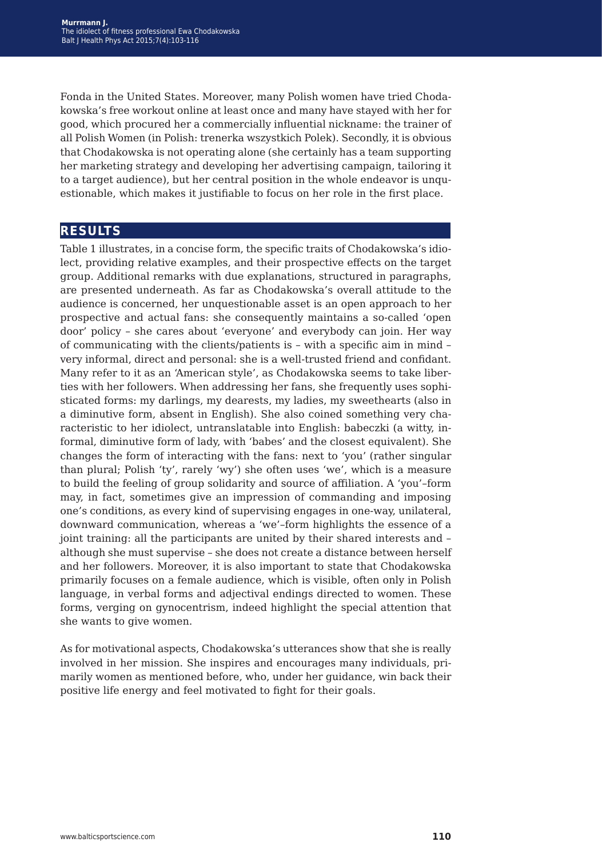Fonda in the United States. Moreover, many Polish women have tried Chodakowska's free workout online at least once and many have stayed with her for good, which procured her a commercially influential nickname: the trainer of all Polish Women (in Polish: trenerka wszystkich Polek). Secondly, it is obvious that Chodakowska is not operating alone (she certainly has a team supporting her marketing strategy and developing her advertising campaign, tailoring it to a target audience), but her central position in the whole endeavor is unquestionable, which makes it justifiable to focus on her role in the first place.

## **results**

Table 1 illustrates, in a concise form, the specific traits of Chodakowska's idiolect, providing relative examples, and their prospective effects on the target group. Additional remarks with due explanations, structured in paragraphs, are presented underneath. As far as Chodakowska's overall attitude to the audience is concerned, her unquestionable asset is an open approach to her prospective and actual fans: she consequently maintains a so-called 'open door' policy – she cares about 'everyone' and everybody can join. Her way of communicating with the clients/patients is – with a specific aim in mind – very informal, direct and personal: she is a well-trusted friend and confidant. Many refer to it as an 'American style', as Chodakowska seems to take liberties with her followers. When addressing her fans, she frequently uses sophisticated forms: my darlings, my dearests, my ladies, my sweethearts (also in a diminutive form, absent in English). She also coined something very characteristic to her idiolect, untranslatable into English: babeczki (a witty, informal, diminutive form of lady, with 'babes' and the closest equivalent). She changes the form of interacting with the fans: next to 'you' (rather singular than plural; Polish 'ty', rarely 'wy') she often uses 'we', which is a measure to build the feeling of group solidarity and source of affiliation. A 'you'–form may, in fact, sometimes give an impression of commanding and imposing one's conditions, as every kind of supervising engages in one-way, unilateral, downward communication, whereas a 'we'–form highlights the essence of a joint training: all the participants are united by their shared interests and – although she must supervise – she does not create a distance between herself and her followers. Moreover, it is also important to state that Chodakowska primarily focuses on a female audience, which is visible, often only in Polish language, in verbal forms and adjectival endings directed to women. These forms, verging on gynocentrism, indeed highlight the special attention that she wants to give women.

As for motivational aspects, Chodakowska's utterances show that she is really involved in her mission. She inspires and encourages many individuals, primarily women as mentioned before, who, under her guidance, win back their positive life energy and feel motivated to fight for their goals.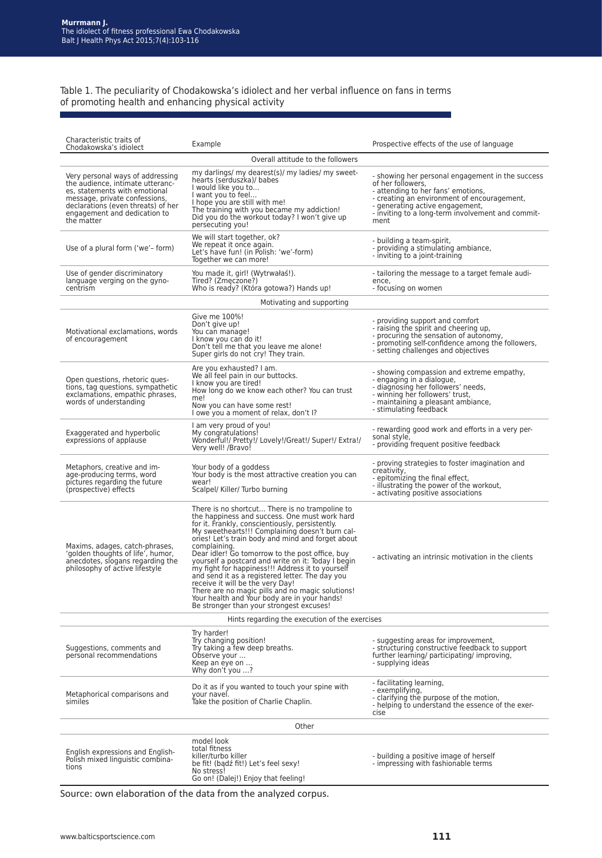Table 1. The peculiarity of Chodakowska's idiolect and her verbal influence on fans in terms of promoting health and enhancing physical activity

| Characteristic traits of<br>Chodakowska's idiolect                                                                                                                                                                         | Example                                                                                                                                                                                                                                                                                                                                                                                                                                                                                                                                                                                                                                                                        | Prospective effects of the use of language                                                                                                                                                                                                                 |  |  |  |
|----------------------------------------------------------------------------------------------------------------------------------------------------------------------------------------------------------------------------|--------------------------------------------------------------------------------------------------------------------------------------------------------------------------------------------------------------------------------------------------------------------------------------------------------------------------------------------------------------------------------------------------------------------------------------------------------------------------------------------------------------------------------------------------------------------------------------------------------------------------------------------------------------------------------|------------------------------------------------------------------------------------------------------------------------------------------------------------------------------------------------------------------------------------------------------------|--|--|--|
|                                                                                                                                                                                                                            | Overall attitude to the followers                                                                                                                                                                                                                                                                                                                                                                                                                                                                                                                                                                                                                                              |                                                                                                                                                                                                                                                            |  |  |  |
| Very personal ways of addressing<br>the audience, intimate utteranc-<br>es, statements with emotional<br>message, private confessions.<br>declarations (even threats) of her<br>engagement and dedication to<br>the matter | my darlings/ my dearest(s)/ my ladies/ my sweet-<br>hearts (serduszka)/ babes<br>I would like you to<br>I want you to feel<br>I hope you are still with me!<br>The training with you became my addiction!<br>Did you do the workout today? I won't give up<br>persecuting you!                                                                                                                                                                                                                                                                                                                                                                                                 | - showing her personal engagement in the success<br>of her followers,<br>- attending to her fans' emotions,<br>- creating an environment of encouragement,<br>- generating active engagement,<br>- inviting to a long-term involvement and commit-<br>ment |  |  |  |
| Use of a plural form ('we'-form)                                                                                                                                                                                           | We will start together, ok?<br>We repeat it once again.<br>Let's have fun! (in Polish: 'we'-form)<br>Together we can more!                                                                                                                                                                                                                                                                                                                                                                                                                                                                                                                                                     | - building a team-spirit,<br>- providing a stimulating ambiance,<br>- inviting to a joint-training                                                                                                                                                         |  |  |  |
| Use of gender discriminatory<br>language verging on the gyno-<br>centrism                                                                                                                                                  | You made it, girl! (Wytrwałaś!).<br>Tired? (Zmęczone?)<br>Who is ready? (Która gotowa?) Hands up!                                                                                                                                                                                                                                                                                                                                                                                                                                                                                                                                                                              | - tailoring the message to a target female audi-<br>ence,<br>- focusing on women                                                                                                                                                                           |  |  |  |
| Motivating and supporting                                                                                                                                                                                                  |                                                                                                                                                                                                                                                                                                                                                                                                                                                                                                                                                                                                                                                                                |                                                                                                                                                                                                                                                            |  |  |  |
| Motivational exclamations, words<br>of encouragement                                                                                                                                                                       | Give me 100%!<br>Don't give up!<br>You can manage!<br>I know you can do it!<br>Don't tell me that you leave me alone!<br>Super girls do not cry! They train.                                                                                                                                                                                                                                                                                                                                                                                                                                                                                                                   | - providing support and comfort<br>- raising the spirit and cheering up,<br>- procuring the sensation of autonomy,<br>- promoting self-confidence among the followers,<br>- setting challenges and objectives                                              |  |  |  |
| Open questions, rhetoric ques-<br>tions, tag questions, sympathetic<br>exclamations, empathic phrases,<br>words of understanding                                                                                           | Are you exhausted? I am.<br>We all feel pain in our buttocks.<br>I know you are tired!<br>How long do we know each other? You can trust<br>me!<br>Now you can have some rest!<br>I owe you a moment of relax, don't I?                                                                                                                                                                                                                                                                                                                                                                                                                                                         | - showing compassion and extreme empathy,<br>- engaging in a dialogue,<br>- diagnosing her followers' needs,<br>- winning her followers' trust,<br>- maintaining a pleasant ambiance,<br>- stimulating feedback                                            |  |  |  |
| Exaggerated and hyperbolic<br>expressions of applause                                                                                                                                                                      | I am very proud of you!<br>My congratulations!<br>Wonderful!/ Pretty!/ Lovely!/Great!/ Super!/ Extra!/<br>Very well! /Bravo!                                                                                                                                                                                                                                                                                                                                                                                                                                                                                                                                                   | - rewarding good work and efforts in a very per-<br>sonal style,<br>- providing frequent positive feedback                                                                                                                                                 |  |  |  |
| Metaphors, creative and im-<br>age-producing terms, word<br>pictures regarding the future<br>(prospective) effects                                                                                                         | Your body of a goddess<br>Your body is the most attractive creation you can<br>wear!<br>Scalpel/ Killer/ Turbo burning                                                                                                                                                                                                                                                                                                                                                                                                                                                                                                                                                         | - proving strategies to foster imagination and<br>creativity,<br>- epitomizing the final effect,<br>- illustrating the power of the workout,<br>- activating positive associations                                                                         |  |  |  |
| Maxims, adages, catch-phrases,<br>'golden thoughts of life', humor,<br>anecdotes, slogans regarding the<br>philosophy of active lifestyle                                                                                  | There is no shortcut There is no trampoline to<br>the happiness and success. One must work hard<br>for it. Frankly, conscientiously, persistently.<br>My sweethearts!!! Complaining doesn't burn cal-<br>ories! Let's train body and mind and forget about<br>complaining.<br>Dear idler! Go tomorrow to the post office, buy<br>yourself a postcard and write on it: Today I begin<br>my fight for happiness!!! Address it to yourself<br>and send it as a registered letter. The day you<br>receive it will be the very Day!<br>There are no magic pills and no magic solutions!<br>Your health and Your body are in your hands!<br>Be stronger than your strongest excuses! | - activating an intrinsic motivation in the clients                                                                                                                                                                                                        |  |  |  |
| Hints regarding the execution of the exercises                                                                                                                                                                             |                                                                                                                                                                                                                                                                                                                                                                                                                                                                                                                                                                                                                                                                                |                                                                                                                                                                                                                                                            |  |  |  |
| Suggestions, comments and<br>personal recommendations                                                                                                                                                                      | Try harder!<br>Try changing position!<br>Try taking a few deep breaths.<br>Observe your<br>Keep an eye on<br>Why don't you ?                                                                                                                                                                                                                                                                                                                                                                                                                                                                                                                                                   | - suggesting areas for improvement,<br>- structuring constructive feedback to support<br>further learning/ participating/ improving,<br>- supplying ideas                                                                                                  |  |  |  |
| Metaphorical comparisons and<br>similes                                                                                                                                                                                    | Do it as if you wanted to touch your spine with<br>your navel.<br>Take the position of Charlie Chaplin.                                                                                                                                                                                                                                                                                                                                                                                                                                                                                                                                                                        | - facilitating learning,<br>- exemplifvina.<br>- clarifying the purpose of the motion,<br>- helping to understand the essence of the exer-<br>cise                                                                                                         |  |  |  |
| Other                                                                                                                                                                                                                      |                                                                                                                                                                                                                                                                                                                                                                                                                                                                                                                                                                                                                                                                                |                                                                                                                                                                                                                                                            |  |  |  |
| English expressions and English-<br>Polish mixed linguistic combina-<br>tions                                                                                                                                              | model look<br>total fitness<br>killer/turbo killer<br>be fit! (badź fit!) Let's feel sexy!<br>No stress!<br>Go on! (Dalej!) Enjoy that feeling!                                                                                                                                                                                                                                                                                                                                                                                                                                                                                                                                | - building a positive image of herself<br>- impressing with fashionable terms                                                                                                                                                                              |  |  |  |

Source: own elaboration of the data from the analyzed corpus.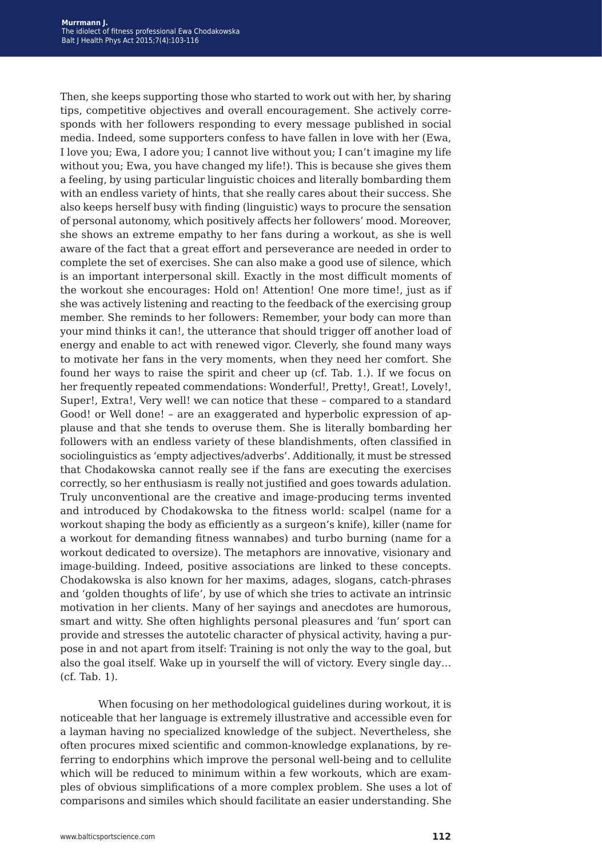Then, she keeps supporting those who started to work out with her, by sharing tips, competitive objectives and overall encouragement. She actively corresponds with her followers responding to every message published in social media. Indeed, some supporters confess to have fallen in love with her (Ewa, I love you; Ewa, I adore you; I cannot live without you; I can't imagine my life without you; Ewa, you have changed my life!). This is because she gives them a feeling, by using particular linguistic choices and literally bombarding them with an endless variety of hints, that she really cares about their success. She also keeps herself busy with finding (linguistic) ways to procure the sensation of personal autonomy, which positively affects her followers' mood. Moreover, she shows an extreme empathy to her fans during a workout, as she is well aware of the fact that a great effort and perseverance are needed in order to complete the set of exercises. She can also make a good use of silence, which is an important interpersonal skill. Exactly in the most difficult moments of the workout she encourages: Hold on! Attention! One more time!, just as if she was actively listening and reacting to the feedback of the exercising group member. She reminds to her followers: Remember, your body can more than your mind thinks it can!, the utterance that should trigger off another load of energy and enable to act with renewed vigor. Cleverly, she found many ways to motivate her fans in the very moments, when they need her comfort. She found her ways to raise the spirit and cheer up (cf. Tab. 1.). If we focus on her frequently repeated commendations: Wonderful!, Pretty!, Great!, Lovely!, Super!, Extra!, Very well! we can notice that these – compared to a standard Good! or Well done! – are an exaggerated and hyperbolic expression of applause and that she tends to overuse them. She is literally bombarding her followers with an endless variety of these blandishments, often classified in sociolinguistics as 'empty adjectives/adverbs'. Additionally, it must be stressed that Chodakowska cannot really see if the fans are executing the exercises correctly, so her enthusiasm is really not justified and goes towards adulation. Truly unconventional are the creative and image-producing terms invented and introduced by Chodakowska to the fitness world: scalpel (name for a workout shaping the body as efficiently as a surgeon's knife), killer (name for a workout for demanding fitness wannabes) and turbo burning (name for a workout dedicated to oversize). The metaphors are innovative, visionary and image-building. Indeed, positive associations are linked to these concepts. Chodakowska is also known for her maxims, adages, slogans, catch-phrases and 'golden thoughts of life', by use of which she tries to activate an intrinsic motivation in her clients. Many of her sayings and anecdotes are humorous, smart and witty. She often highlights personal pleasures and 'fun' sport can provide and stresses the autotelic character of physical activity, having a purpose in and not apart from itself: Training is not only the way to the goal, but also the goal itself. Wake up in yourself the will of victory. Every single day… (cf. Tab. 1).

When focusing on her methodological guidelines during workout, it is noticeable that her language is extremely illustrative and accessible even for a layman having no specialized knowledge of the subject. Nevertheless, she often procures mixed scientific and common-knowledge explanations, by referring to endorphins which improve the personal well-being and to cellulite which will be reduced to minimum within a few workouts, which are examples of obvious simplifications of a more complex problem. She uses a lot of comparisons and similes which should facilitate an easier understanding. She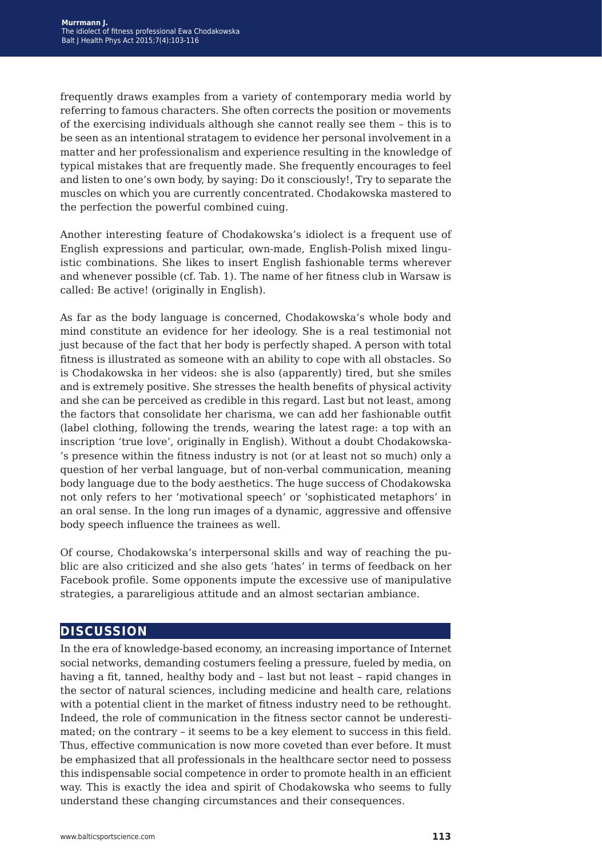frequently draws examples from a variety of contemporary media world by referring to famous characters. She often corrects the position or movements of the exercising individuals although she cannot really see them – this is to be seen as an intentional stratagem to evidence her personal involvement in a matter and her professionalism and experience resulting in the knowledge of typical mistakes that are frequently made. She frequently encourages to feel and listen to one's own body, by saying: Do it consciously!, Try to separate the muscles on which you are currently concentrated. Chodakowska mastered to the perfection the powerful combined cuing.

Another interesting feature of Chodakowska's idiolect is a frequent use of English expressions and particular, own-made, English-Polish mixed linguistic combinations. She likes to insert English fashionable terms wherever and whenever possible (cf. Tab. 1). The name of her fitness club in Warsaw is called: Be active! (originally in English).

As far as the body language is concerned, Chodakowska's whole body and mind constitute an evidence for her ideology. She is a real testimonial not just because of the fact that her body is perfectly shaped. A person with total fitness is illustrated as someone with an ability to cope with all obstacles. So is Chodakowska in her videos: she is also (apparently) tired, but she smiles and is extremely positive. She stresses the health benefits of physical activity and she can be perceived as credible in this regard. Last but not least, among the factors that consolidate her charisma, we can add her fashionable outfit (label clothing, following the trends, wearing the latest rage: a top with an inscription 'true love', originally in English). Without a doubt Chodakowska- 's presence within the fitness industry is not (or at least not so much) only a question of her verbal language, but of non-verbal communication, meaning body language due to the body aesthetics. The huge success of Chodakowska not only refers to her 'motivational speech' or 'sophisticated metaphors' in an oral sense. In the long run images of a dynamic, aggressive and offensive body speech influence the trainees as well.

Of course, Chodakowska's interpersonal skills and way of reaching the public are also criticized and she also gets 'hates' in terms of feedback on her Facebook profile. Some opponents impute the excessive use of manipulative strategies, a parareligious attitude and an almost sectarian ambiance.

## **discussion**

In the era of knowledge-based economy, an increasing importance of Internet social networks, demanding costumers feeling a pressure, fueled by media, on having a fit, tanned, healthy body and – last but not least – rapid changes in the sector of natural sciences, including medicine and health care, relations with a potential client in the market of fitness industry need to be rethought. Indeed, the role of communication in the fitness sector cannot be underestimated; on the contrary – it seems to be a key element to success in this field. Thus, effective communication is now more coveted than ever before. It must be emphasized that all professionals in the healthcare sector need to possess this indispensable social competence in order to promote health in an efficient way. This is exactly the idea and spirit of Chodakowska who seems to fully understand these changing circumstances and their consequences.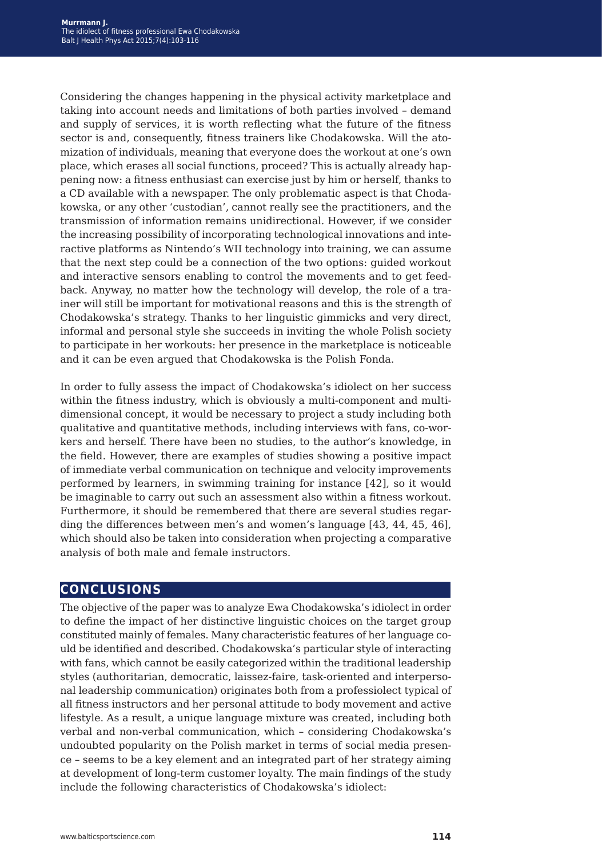Considering the changes happening in the physical activity marketplace and taking into account needs and limitations of both parties involved – demand and supply of services, it is worth reflecting what the future of the fitness sector is and, consequently, fitness trainers like Chodakowska. Will the atomization of individuals, meaning that everyone does the workout at one's own place, which erases all social functions, proceed? This is actually already happening now: a fitness enthusiast can exercise just by him or herself, thanks to a CD available with a newspaper. The only problematic aspect is that Chodakowska, or any other 'custodian', cannot really see the practitioners, and the transmission of information remains unidirectional. However, if we consider the increasing possibility of incorporating technological innovations and interactive platforms as Nintendo's WII technology into training, we can assume that the next step could be a connection of the two options: guided workout and interactive sensors enabling to control the movements and to get feedback. Anyway, no matter how the technology will develop, the role of a trainer will still be important for motivational reasons and this is the strength of Chodakowska's strategy. Thanks to her linguistic gimmicks and very direct, informal and personal style she succeeds in inviting the whole Polish society to participate in her workouts: her presence in the marketplace is noticeable and it can be even argued that Chodakowska is the Polish Fonda.

In order to fully assess the impact of Chodakowska's idiolect on her success within the fitness industry, which is obviously a multi-component and multidimensional concept, it would be necessary to project a study including both qualitative and quantitative methods, including interviews with fans, co-workers and herself. There have been no studies, to the author's knowledge, in the field. However, there are examples of studies showing a positive impact of immediate verbal communication on technique and velocity improvements performed by learners, in swimming training for instance [42], so it would be imaginable to carry out such an assessment also within a fitness workout. Furthermore, it should be remembered that there are several studies regarding the differences between men's and women's language [43, 44, 45, 46], which should also be taken into consideration when projecting a comparative analysis of both male and female instructors.

## **conclusions**

The objective of the paper was to analyze Ewa Chodakowska's idiolect in order to define the impact of her distinctive linguistic choices on the target group constituted mainly of females. Many characteristic features of her language could be identified and described. Chodakowska's particular style of interacting with fans, which cannot be easily categorized within the traditional leadership styles (authoritarian, democratic, laissez-faire, task-oriented and interpersonal leadership communication) originates both from a professiolect typical of all fitness instructors and her personal attitude to body movement and active lifestyle. As a result, a unique language mixture was created, including both verbal and non-verbal communication, which – considering Chodakowska's undoubted popularity on the Polish market in terms of social media presence – seems to be a key element and an integrated part of her strategy aiming at development of long-term customer loyalty. The main findings of the study include the following characteristics of Chodakowska's idiolect: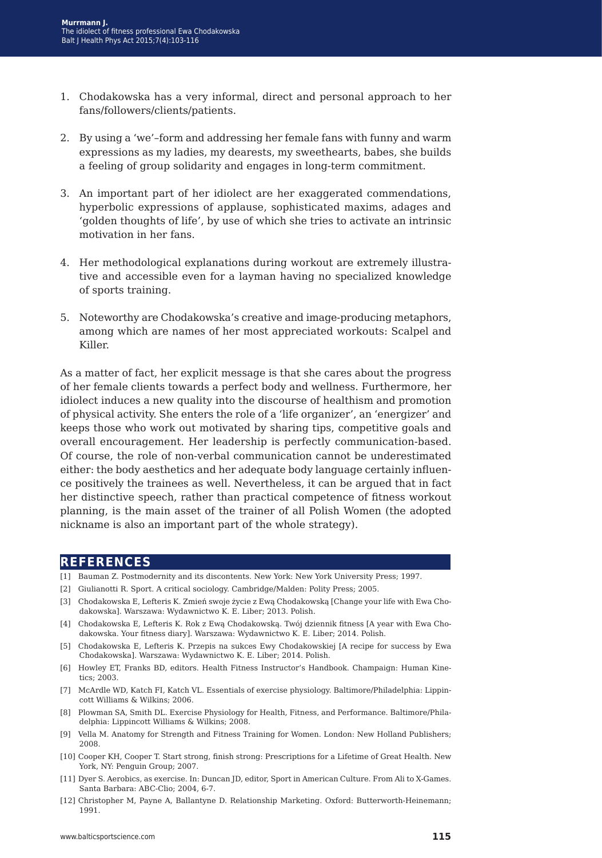- 1. Chodakowska has a very informal, direct and personal approach to her fans/followers/clients/patients.
- 2. By using a 'we'–form and addressing her female fans with funny and warm expressions as my ladies, my dearests, my sweethearts, babes, she builds a feeling of group solidarity and engages in long-term commitment.
- 3. An important part of her idiolect are her exaggerated commendations, hyperbolic expressions of applause, sophisticated maxims, adages and 'golden thoughts of life', by use of which she tries to activate an intrinsic motivation in her fans.
- 4. Her methodological explanations during workout are extremely illustrative and accessible even for a layman having no specialized knowledge of sports training.
- 5. Noteworthy are Chodakowska's creative and image-producing metaphors, among which are names of her most appreciated workouts: Scalpel and Killer.

As a matter of fact, her explicit message is that she cares about the progress of her female clients towards a perfect body and wellness. Furthermore, her idiolect induces a new quality into the discourse of healthism and promotion of physical activity. She enters the role of a 'life organizer', an 'energizer' and keeps those who work out motivated by sharing tips, competitive goals and overall encouragement. Her leadership is perfectly communication-based. Of course, the role of non-verbal communication cannot be underestimated either: the body aesthetics and her adequate body language certainly influence positively the trainees as well. Nevertheless, it can be argued that in fact her distinctive speech, rather than practical competence of fitness workout planning, is the main asset of the trainer of all Polish Women (the adopted nickname is also an important part of the whole strategy).

### **references**

- [1] Bauman Z. Postmodernity and its discontents. New York: New York University Press; 1997.
- [2] Giulianotti R. Sport. A critical sociology. Cambridge/Malden: Polity Press; 2005.
- [3] Chodakowska E, Lefteris K. Zmień swoje życie z Ewą Chodakowską [Change your life with Ewa Chodakowska]. Warszawa: Wydawnictwo K. E. Liber; 2013. Polish.
- [4] Chodakowska E, Lefteris K. Rok z Ewą Chodakowską. Twój dziennik fitness [A year with Ewa Chodakowska. Your fitness diary]. Warszawa: Wydawnictwo K. E. Liber; 2014. Polish.
- [5] Chodakowska E, Lefteris K. Przepis na sukces Ewy Chodakowskiej [A recipe for success by Ewa Chodakowska]. Warszawa: Wydawnictwo K. E. Liber; 2014. Polish.
- [6] Howley ET, Franks BD, editors. Health Fitness Instructor's Handbook. Champaign: Human Kinetics; 2003.
- [7] McArdle WD, Katch FI, Katch VL. Essentials of exercise physiology. Baltimore/Philadelphia: Lippincott Williams & Wilkins; 2006.
- [8] Plowman SA, Smith DL. Exercise Physiology for Health, Fitness, and Performance. Baltimore/Philadelphia: Lippincott Williams & Wilkins; 2008.
- [9] Vella M. Anatomy for Strength and Fitness Training for Women. London: New Holland Publishers; 2008.
- [10] Cooper KH, Cooper T. Start strong, finish strong: Prescriptions for a Lifetime of Great Health. New York, NY: Penguin Group; 2007.
- [11] Dyer S. Aerobics, as exercise. In: Duncan JD, editor, Sport in American Culture. From Ali to X-Games. Santa Barbara: ABC-Clio; 2004, 6-7.
- [12] Christopher M, Payne A, Ballantyne D. Relationship Marketing. Oxford: Butterworth-Heinemann; 1991.